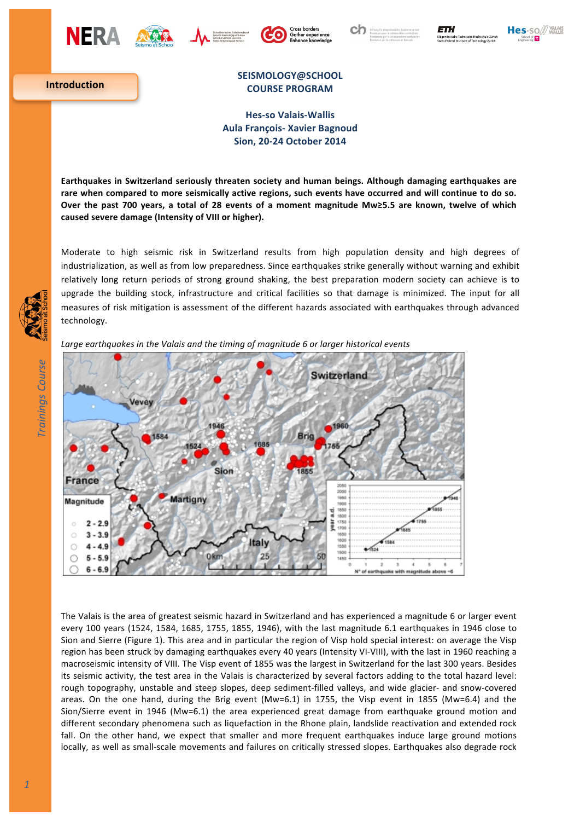









**Introduction**

## **SEISMOLOGY@SCHOOL COURSE PROGRAM**

**Hes-so Valais-Wallis Aula François- Xavier Bagnoud Sion, 20-24 October 2014**

Earthquakes in Switzerland seriously threaten society and human beings. Although damaging earthquakes are rare when compared to more seismically active regions, such events have occurred and will continue to do so. Over the past 700 years, a total of 28 events of a moment magnitude Mw≥5.5 are known, twelve of which caused severe damage (Intensity of VIII or higher).

Moderate to high seismic risk in Switzerland results from high population density and high degrees of industrialization, as well as from low preparedness. Since earthquakes strike generally without warning and exhibit relatively long return periods of strong ground shaking, the best preparation modern society can achieve is to upgrade the building stock, infrastructure and critical facilities so that damage is minimized. The input for all measures of risk mitigation is assessment of the different hazards associated with earthquakes through advanced technology.



Large earthquakes in the Valais and the timing of magnitude 6 or larger historical events

The Valais is the area of greatest seismic hazard in Switzerland and has experienced a magnitude 6 or larger event every 100 years (1524, 1584, 1685, 1755, 1855, 1946), with the last magnitude 6.1 earthquakes in 1946 close to Sion and Sierre (Figure 1). This area and in particular the region of Visp hold special interest: on average the Visp region has been struck by damaging earthquakes every 40 years (Intensity VI-VIII), with the last in 1960 reaching a macroseismic intensity of VIII. The Visp event of 1855 was the largest in Switzerland for the last 300 years. Besides its seismic activity, the test area in the Valais is characterized by several factors adding to the total hazard level: rough topography, unstable and steep slopes, deep sediment-filled valleys, and wide glacier- and snow-covered areas. On the one hand, during the Brig event (Mw=6.1) in 1755, the Visp event in 1855 (Mw=6.4) and the Sion/Sierre event in 1946 (Mw=6.1) the area experienced great damage from earthquake ground motion and different secondary phenomena such as liquefaction in the Rhone plain, landslide reactivation and extended rock fall. On the other hand, we expect that smaller and more frequent earthquakes induce large ground motions locally, as well as small-scale movements and failures on critically stressed slopes. Earthquakes also degrade rock